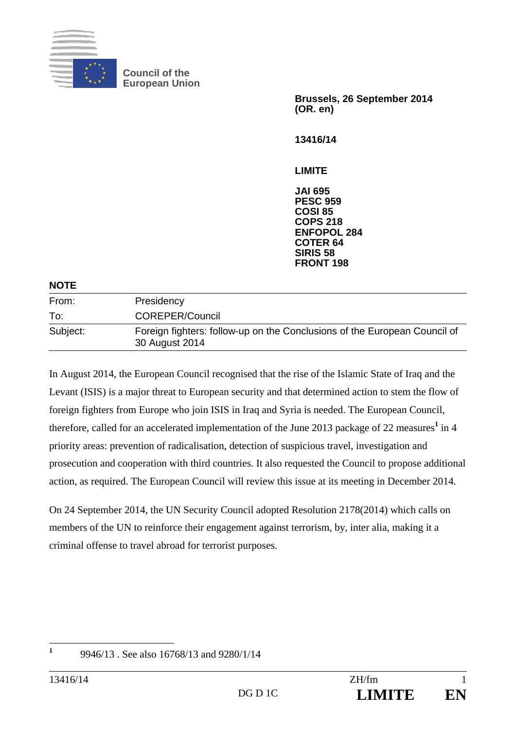

**Council of the European Union** 

> **Brussels, 26 September 2014 (OR. en)**

**13416/14** 

**LIMITE** 

**JAI 695 PESC 959 COSI 85 COPS 218 ENFOPOL 284 COTER 64 SIRIS 58 FRONT 198**

### **NOTE**

| From:    | Presidency                                                                                  |
|----------|---------------------------------------------------------------------------------------------|
| To:      | <b>COREPER/Council</b>                                                                      |
| Subject: | Foreign fighters: follow-up on the Conclusions of the European Council of<br>30 August 2014 |

In August 2014, the European Council recognised that the rise of the Islamic State of Iraq and the Levant (ISIS) is a major threat to European security and that determined action to stem the flow of foreign fighters from Europe who join ISIS in Iraq and Syria is needed. The European Council, therefore, called for an accelerated implementation of the June 2013 package of 22 measures<sup>1</sup> in 4 priority areas: prevention of radicalisation, detection of suspicious travel, investigation and prosecution and cooperation with third countries. It also requested the Council to propose additional action, as required. The European Council will review this issue at its meeting in December 2014.

On 24 September 2014, the UN Security Council adopted Resolution 2178(2014) which calls on members of the UN to reinforce their engagement against terrorism, by, inter alia, making it a criminal offense to travel abroad for terrorist purposes.

 **1**

 <sup>9946/13 .</sup> See also 16768/13 and 9280/1/14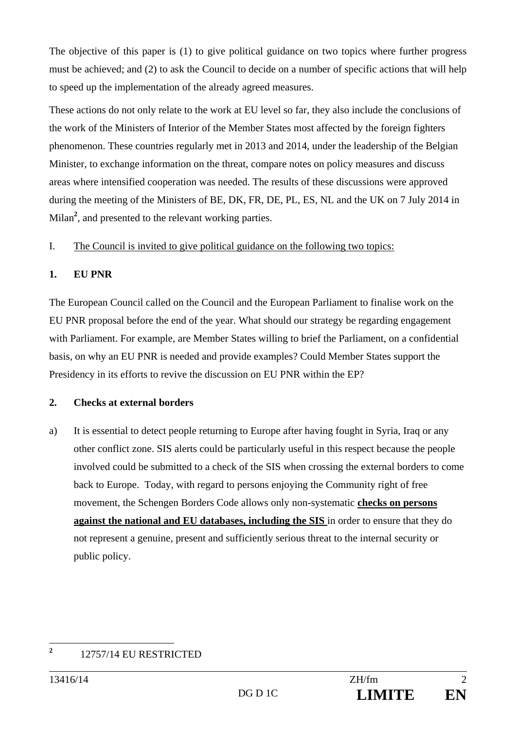The objective of this paper is (1) to give political guidance on two topics where further progress must be achieved; and (2) to ask the Council to decide on a number of specific actions that will help to speed up the implementation of the already agreed measures.

These actions do not only relate to the work at EU level so far, they also include the conclusions of the work of the Ministers of Interior of the Member States most affected by the foreign fighters phenomenon. These countries regularly met in 2013 and 2014, under the leadership of the Belgian Minister, to exchange information on the threat, compare notes on policy measures and discuss areas where intensified cooperation was needed. The results of these discussions were approved during the meeting of the Ministers of BE, DK, FR, DE, PL, ES, NL and the UK on 7 July 2014 in Milan**<sup>2</sup>** , and presented to the relevant working parties.

# I. The Council is invited to give political guidance on the following two topics:

# **1. EU PNR**

The European Council called on the Council and the European Parliament to finalise work on the EU PNR proposal before the end of the year. What should our strategy be regarding engagement with Parliament. For example, are Member States willing to brief the Parliament, on a confidential basis, on why an EU PNR is needed and provide examples? Could Member States support the Presidency in its efforts to revive the discussion on EU PNR within the EP?

## **2. Checks at external borders**

a) It is essential to detect people returning to Europe after having fought in Syria, Iraq or any other conflict zone. SIS alerts could be particularly useful in this respect because the people involved could be submitted to a check of the SIS when crossing the external borders to come back to Europe. Today, with regard to persons enjoying the Community right of free movement, the Schengen Borders Code allows only non-systematic **checks on persons against the national and EU databases, including the SIS** in order to ensure that they do not represent a genuine, present and sufficiently serious threat to the internal security or public policy.

 **2** 12757/14 EU RESTRICTED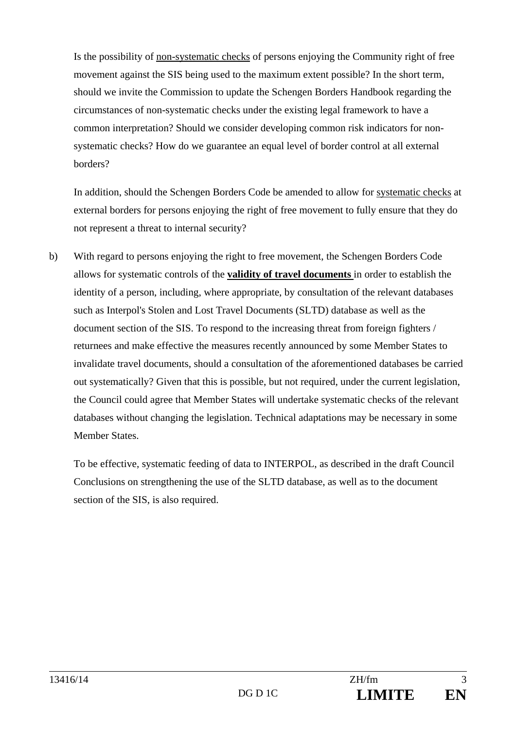Is the possibility of non-systematic checks of persons enjoying the Community right of free movement against the SIS being used to the maximum extent possible? In the short term, should we invite the Commission to update the Schengen Borders Handbook regarding the circumstances of non-systematic checks under the existing legal framework to have a common interpretation? Should we consider developing common risk indicators for nonsystematic checks? How do we guarantee an equal level of border control at all external borders?

In addition, should the Schengen Borders Code be amended to allow for systematic checks at external borders for persons enjoying the right of free movement to fully ensure that they do not represent a threat to internal security?

b) With regard to persons enjoying the right to free movement, the Schengen Borders Code allows for systematic controls of the **validity of travel documents** in order to establish the identity of a person, including, where appropriate, by consultation of the relevant databases such as Interpol's Stolen and Lost Travel Documents (SLTD) database as well as the document section of the SIS. To respond to the increasing threat from foreign fighters / returnees and make effective the measures recently announced by some Member States to invalidate travel documents, should a consultation of the aforementioned databases be carried out systematically? Given that this is possible, but not required, under the current legislation, the Council could agree that Member States will undertake systematic checks of the relevant databases without changing the legislation. Technical adaptations may be necessary in some Member States.

To be effective, systematic feeding of data to INTERPOL, as described in the draft Council Conclusions on strengthening the use of the SLTD database, as well as to the document section of the SIS, is also required.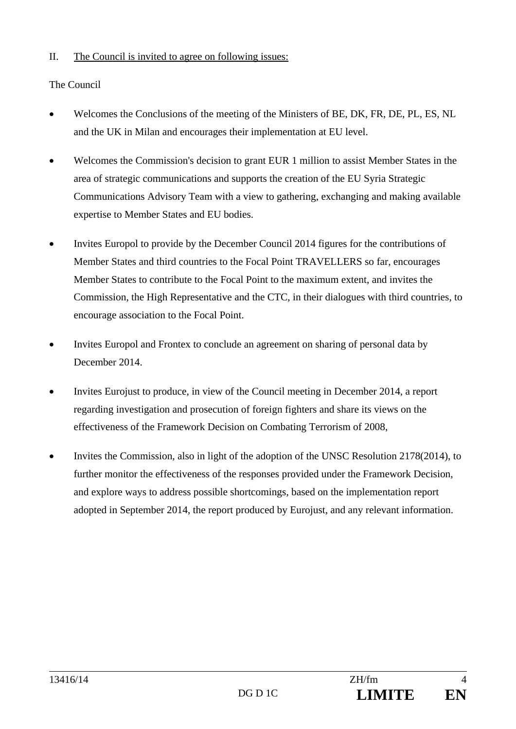## II. The Council is invited to agree on following issues:

## The Council

- Welcomes the Conclusions of the meeting of the Ministers of BE, DK, FR, DE, PL, ES, NL and the UK in Milan and encourages their implementation at EU level.
- Welcomes the Commission's decision to grant EUR 1 million to assist Member States in the area of strategic communications and supports the creation of the EU Syria Strategic Communications Advisory Team with a view to gathering, exchanging and making available expertise to Member States and EU bodies.
- Invites Europol to provide by the December Council 2014 figures for the contributions of Member States and third countries to the Focal Point TRAVELLERS so far, encourages Member States to contribute to the Focal Point to the maximum extent, and invites the Commission, the High Representative and the CTC, in their dialogues with third countries, to encourage association to the Focal Point.
- Invites Europol and Frontex to conclude an agreement on sharing of personal data by December 2014.
- Invites Eurojust to produce, in view of the Council meeting in December 2014, a report regarding investigation and prosecution of foreign fighters and share its views on the effectiveness of the Framework Decision on Combating Terrorism of 2008,
- Invites the Commission, also in light of the adoption of the UNSC Resolution 2178(2014), to further monitor the effectiveness of the responses provided under the Framework Decision, and explore ways to address possible shortcomings, based on the implementation report adopted in September 2014, the report produced by Eurojust, and any relevant information.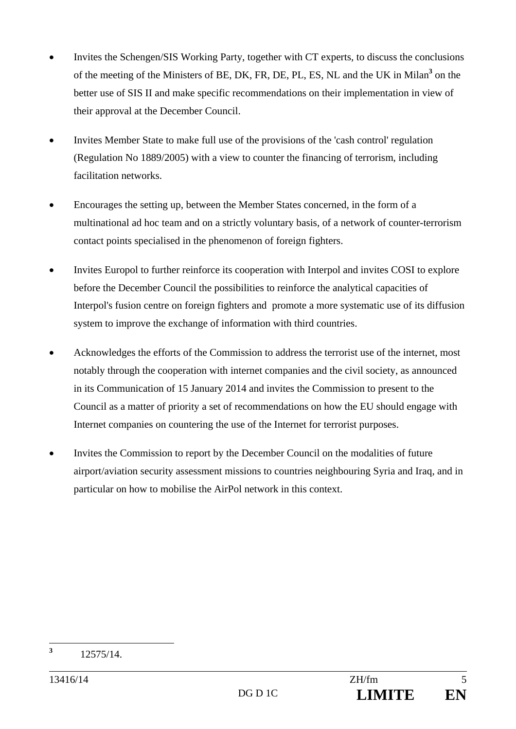- Invites the Schengen/SIS Working Party, together with CT experts, to discuss the conclusions of the meeting of the Ministers of BE, DK, FR, DE, PL, ES, NL and the UK in Milan**<sup>3</sup>** on the better use of SIS II and make specific recommendations on their implementation in view of their approval at the December Council.
- Invites Member State to make full use of the provisions of the 'cash control' regulation (Regulation No 1889/2005) with a view to counter the financing of terrorism, including facilitation networks.
- Encourages the setting up, between the Member States concerned, in the form of a multinational ad hoc team and on a strictly voluntary basis, of a network of counter-terrorism contact points specialised in the phenomenon of foreign fighters.
- Invites Europol to further reinforce its cooperation with Interpol and invites COSI to explore before the December Council the possibilities to reinforce the analytical capacities of Interpol's fusion centre on foreign fighters and promote a more systematic use of its diffusion system to improve the exchange of information with third countries.
- Acknowledges the efforts of the Commission to address the terrorist use of the internet, most notably through the cooperation with internet companies and the civil society, as announced in its Communication of 15 January 2014 and invites the Commission to present to the Council as a matter of priority a set of recommendations on how the EU should engage with Internet companies on countering the use of the Internet for terrorist purposes.
- Invites the Commission to report by the December Council on the modalities of future airport/aviation security assessment missions to countries neighbouring Syria and Iraq, and in particular on how to mobilise the AirPol network in this context.

 **3** 12575/14.